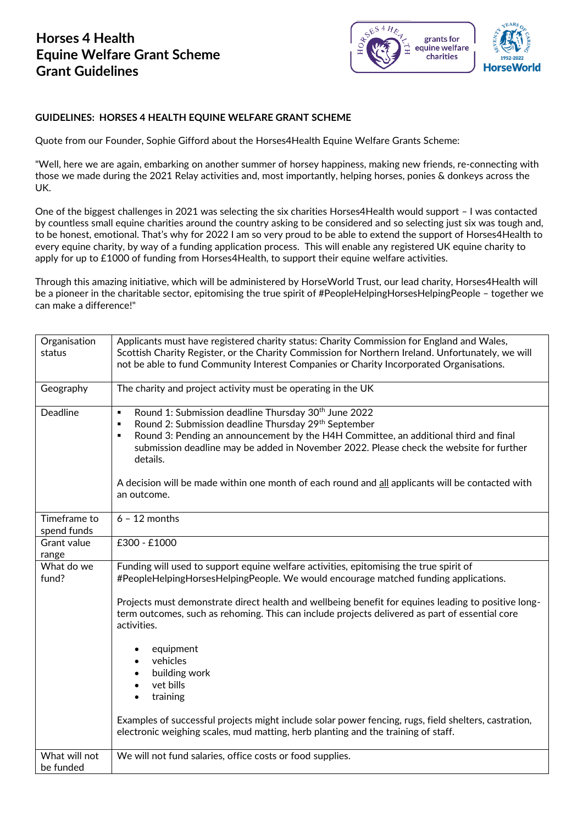## **Horses 4 Health Equine Welfare Grant Scheme Grant Guidelines**



## **GUIDELINES: HORSES 4 HEALTH EQUINE WELFARE GRANT SCHEME**

Quote from our Founder, Sophie Gifford about the Horses4Health Equine Welfare Grants Scheme:

"Well, here we are again, embarking on another summer of horsey happiness, making new friends, re-connecting with those we made during the 2021 Relay activities and, most importantly, helping horses, ponies & donkeys across the UK.

One of the biggest challenges in 2021 was selecting the six charities Horses4Health would support – I was contacted by countless small equine charities around the country asking to be considered and so selecting just six was tough and, to be honest, emotional. That's why for 2022 I am so very proud to be able to extend the support of Horses4Health to every equine charity, by way of a funding application process. This will enable any registered UK equine charity to apply for up to £1000 of funding from Horses4Health, to support their equine welfare activities.

Through this amazing initiative, which will be administered by HorseWorld Trust, our lead charity, Horses4Health will be a pioneer in the charitable sector, epitomising the true spirit of #PeopleHelpingHorsesHelpingPeople - together we can make a difference!"

| Organisation                | Applicants must have registered charity status: Charity Commission for England and Wales,                                                                                                                            |
|-----------------------------|----------------------------------------------------------------------------------------------------------------------------------------------------------------------------------------------------------------------|
| status                      | Scottish Charity Register, or the Charity Commission for Northern Ireland. Unfortunately, we will                                                                                                                    |
|                             | not be able to fund Community Interest Companies or Charity Incorporated Organisations.                                                                                                                              |
|                             |                                                                                                                                                                                                                      |
| Geography                   | The charity and project activity must be operating in the UK                                                                                                                                                         |
| <b>Deadline</b>             | Round 1: Submission deadline Thursday 30 <sup>th</sup> June 2022<br>$\blacksquare$<br>Round 2: Submission deadline Thursday 29th September<br>٠                                                                      |
|                             | Round 3: Pending an announcement by the H4H Committee, an additional third and final<br>٠<br>submission deadline may be added in November 2022. Please check the website for further<br>details.                     |
|                             | A decision will be made within one month of each round and all applicants will be contacted with<br>an outcome.                                                                                                      |
| Timeframe to<br>spend funds | $6 - 12$ months                                                                                                                                                                                                      |
| Grant value                 | £300 - £1000                                                                                                                                                                                                         |
| range                       |                                                                                                                                                                                                                      |
| What do we<br>fund?         | Funding will used to support equine welfare activities, epitomising the true spirit of<br>#PeopleHelpingHorsesHelpingPeople. We would encourage matched funding applications.                                        |
|                             | Projects must demonstrate direct health and wellbeing benefit for equines leading to positive long-<br>term outcomes, such as rehoming. This can include projects delivered as part of essential core<br>activities. |
|                             | equipment<br>vehicles<br>building work                                                                                                                                                                               |
|                             | vet bills                                                                                                                                                                                                            |
|                             | training                                                                                                                                                                                                             |
|                             | Examples of successful projects might include solar power fencing, rugs, field shelters, castration,<br>electronic weighing scales, mud matting, herb planting and the training of staff.                            |
| What will not<br>be funded  | We will not fund salaries, office costs or food supplies.                                                                                                                                                            |